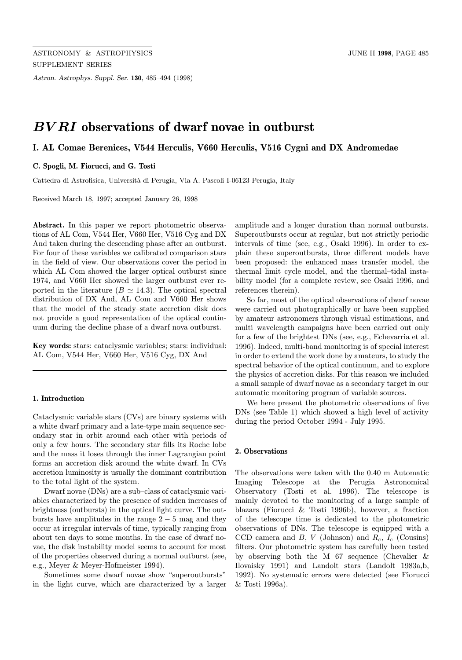Astron. Astrophys. Suppl. Ser. 130, 485–494 (1998)

# BV RI observations of dwarf novae in outburst

# I. AL Comae Berenices, V544 Herculis, V660 Herculis, V516 Cygni and DX Andromedae

### C. Spogli, M. Fiorucci, and G. Tosti

Cattedra di Astrofisica, Università di Perugia, Via A. Pascoli I-06123 Perugia, Italy

Received March 18, 1997; accepted January 26, 1998

Abstract. In this paper we report photometric observations of AL Com, V544 Her, V660 Her, V516 Cyg and DX And taken during the descending phase after an outburst. For four of these variables we calibrated comparison stars in the field of view. Our observations cover the period in which AL Com showed the larger optical outburst since 1974, and V660 Her showed the larger outburst ever reported in the literature ( $B \simeq 14.3$ ). The optical spectral distribution of DX And, AL Com and V660 Her shows that the model of the steady–state accretion disk does not provide a good representation of the optical continuum during the decline phase of a dwarf nova outburst.

Key words: stars: cataclysmic variables; stars: individual: AL Com, V544 Her, V660 Her, V516 Cyg, DX And

### 1. Introduction

Cataclysmic variable stars (CVs) are binary systems with a white dwarf primary and a late-type main sequence secondary star in orbit around each other with periods of only a few hours. The secondary star fills its Roche lobe and the mass it loses through the inner Lagrangian point forms an accretion disk around the white dwarf. In CVs accretion luminosity is usually the dominant contribution to the total light of the system.

Dwarf novae (DNs) are a sub–class of cataclysmic variables characterized by the presence of sudden increases of brightness (outbursts) in the optical light curve. The outbursts have amplitudes in the range  $2-5$  mag and they occur at irregular intervals of time, typically ranging from about ten days to some months. In the case of dwarf novae, the disk instability model seems to account for most of the properties observed during a normal outburst (see, e.g., Meyer & Meyer-Hofmeister 1994).

Sometimes some dwarf novae show "superoutbursts" in the light curve, which are characterized by a larger amplitude and a longer duration than normal outbursts. Superoutbursts occur at regular, but not strictly periodic intervals of time (see, e.g., Osaki 1996). In order to explain these superoutbursts, three different models have been proposed: the enhanced mass transfer model, the thermal limit cycle model, and the thermal–tidal instability model (for a complete review, see Osaki 1996, and references therein).

So far, most of the optical observations of dwarf novae were carried out photographically or have been supplied by amateur astronomers through visual estimations, and multi–wavelength campaigns have been carried out only for a few of the brightest DNs (see, e.g., Echevarria et al. 1996). Indeed, multi-band monitoring is of special interest in order to extend the work done by amateurs, to study the spectral behavior of the optical continuum, and to explore the physics of accretion disks. For this reason we included a small sample of dwarf novae as a secondary target in our automatic monitoring program of variable sources.

We here present the photometric observations of five DNs (see Table 1) which showed a high level of activity during the period October 1994 - July 1995.

#### 2. Observations

The observations were taken with the 0.40 m Automatic Imaging Telescope at the Perugia Astronomical Observatory (Tosti et al. 1996). The telescope is mainly devoted to the monitoring of a large sample of blazars (Fiorucci & Tosti 1996b), however, a fraction of the telescope time is dedicated to the photometric observations of DNs. The telescope is equipped with a CCD camera and B, V (Johnson) and  $R_c$ ,  $I_c$  (Cousins) filters. Our photometric system has carefully been tested by observing both the M 67 sequence (Chevalier & Ilovaisky 1991) and Landolt stars (Landolt 1983a,b, 1992). No systematic errors were detected (see Fiorucci & Tosti 1996a).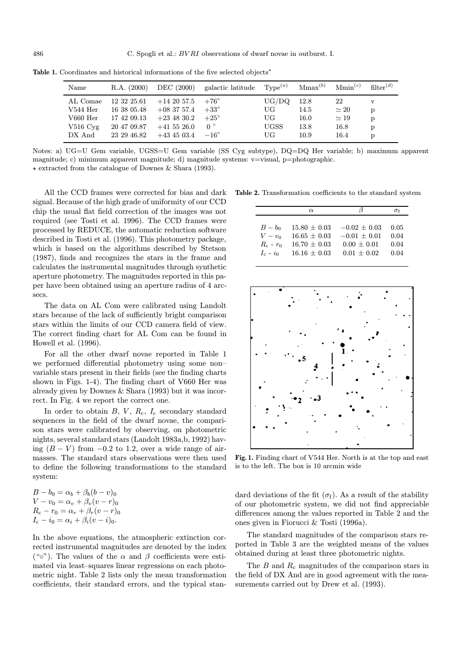| Name                  | R.A. (2000) | DEC (2000)      | galactic latitude | $Tvpe^{(a)}$ | $Mmax^{(b)}$ | Mmin <sup>(c)</sup> | filter <sup>(d)</sup> |
|-----------------------|-------------|-----------------|-------------------|--------------|--------------|---------------------|-----------------------|
| AL Comae              | 12 32 25.61 | $+14\;20\;57.5$ | $+76^{\circ}$     | UG/DO        | 12.8         | 22                  | v                     |
| $V544$ Her            | 16 38 05.48 | $+08\;37\;57.4$ | $+33^{\circ}$     | UG           | 14.5         | $\simeq 20$         | p                     |
| $V660$ Her            | 17 42 09.13 | $+23$ 48 30.2   | $+25^{\circ}$     | UG           | 16.0         | $\simeq 19$         | p                     |
| $V516 \,\mathrm{Cyg}$ | 20 47 09.87 | $+41\;55\;26.0$ | $0^{\circ}$       | <b>UGSS</b>  | 13.8         | 16.8                | p                     |
| DX And                | 23 29 46.82 | $+43\;45\;03.4$ | $-16^{\circ}$     | UG           | 10.9         | 16.4                | D                     |

Table 1. Coordinates and historical informations of the five selected objects<sup>\*</sup>

Notes: a) UG=U Gem variable, UGSS=U Gem variable (SS Cyg subtype), DQ=DQ Her variable; b) maximum apparent magnitude; c) minimum apparent magnitude; d) magnitude systems: v=visual, p=photographic.  $\star$  extracted from the catalogue of Downes & Shara (1993).

All the CCD frames were corrected for bias and dark signal. Because of the high grade of uniformity of our CCD chip the usual flat field correction of the images was not required (see Tosti et al. 1996). The CCD frames were processed by REDUCE, the automatic reduction software described in Tosti et al. (1996). This photometry package, which is based on the algorithms described by Stetson (1987), finds and recognizes the stars in the frame and calculates the instrumental magnitudes through synthetic aperture photometry. The magnitudes reported in this paper have been obtained using an aperture radius of 4 arcsecs.

The data on AL Com were calibrated using Landolt stars because of the lack of sufficiently bright comparison stars within the limits of our CCD camera field of view. The correct finding chart for AL Com can be found in Howell et al. (1996).

For all the other dwarf novae reported in Table 1 we performed differential photometry using some non– variable stars present in their fields (see the finding charts shown in Figs. 1-4). The finding chart of V660 Her was already given by Downes & Shara (1993) but it was incorrect. In Fig. 4 we report the correct one.

In order to obtain  $B, V, R_c, I_c$  secondary standard sequences in the field of the dwarf novae, the comparison stars were calibrated by observing, on photometric nights, several standard stars (Landolt 1983a,b, 1992) having  $(B - V)$  from  $-0.2$  to 1.2, over a wide range of airmasses. The standard stars observations were then used to define the following transformations to the standard system:

| $B - b_0 = \alpha_b + \beta_b (b - v)_0$    |
|---------------------------------------------|
| $V - v_0 = \alpha_v + \beta_v (v - r)_0$    |
| $R_c - r_0 = \alpha_r + \beta_r (v - r)_0$  |
| $I_c - i_0 = \alpha_i + \beta_i (v - i)_0.$ |

In the above equations, the atmospheric extinction corrected instrumental magnitudes are denoted by the index ("o"). The values of the α and β coefficients were estimated via least–squares linear regressions on each photometric night. Table 2 lists only the mean transformation coefficients, their standard errors, and the typical stan-

Table 2. Transformation coefficients to the standard system

|               | $\alpha$         |                  | σf   |
|---------------|------------------|------------------|------|
|               |                  |                  |      |
| $B-b0$        | $15.80 \pm 0.03$ | $-0.02 \pm 0.03$ | 0.05 |
| $V-v_0$       | $16.65 \pm 0.03$ | $-0.01 + 0.01$   | 0.04 |
| $R_c$ - $r_0$ | $16.70 \pm 0.03$ | $0.00 + 0.01$    | 0.04 |
| $I_c - i_0$   | $16.16 \pm 0.03$ | $0.01 + 0.02$    | 0.04 |



Fig. 1. Finding chart of V544 Her. North is at the top and east is to the left. The box is 10 arcmin wide

dard deviations of the fit  $(\sigma_f)$ . As a result of the stability of our photometric system, we did not find appreciable differences among the values reported in Table 2 and the ones given in Fiorucci & Tosti (1996a).

The standard magnitudes of the comparison stars reported in Table 3 are the weighted means of the values obtained during at least three photometric nights.

The  $B$  and  $R_c$  magnitudes of the comparison stars in the field of DX And are in good agreement with the measurements carried out by Drew et al. (1993).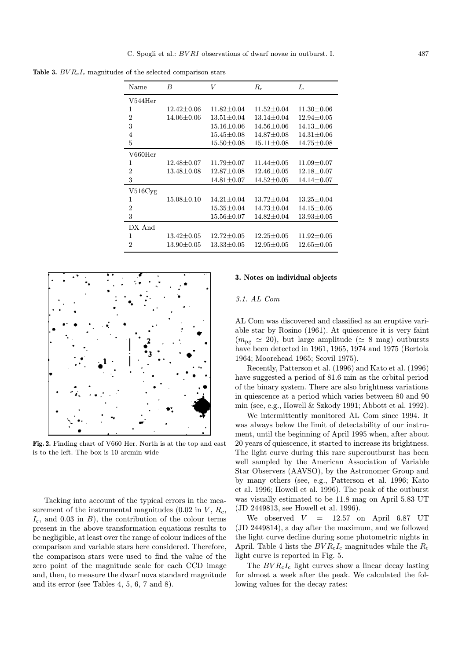Table 3.  $BVR<sub>c</sub>I<sub>c</sub>$  magnitudes of the selected comparison stars

| Name           | B                  | V                  | $R_{c}$          | $I_{\rm c}$        |
|----------------|--------------------|--------------------|------------------|--------------------|
| $V544$ Her     |                    |                    |                  |                    |
| 1              | $12.42 \pm 0.06$   | $11.82 \pm 0.04$   | $11.52 \pm 0.04$ | $11.30 \pm 0.06$   |
| $\overline{2}$ | $14.06 \pm 0.06$   | $13.51 \pm 0.04$   | $13.14 \pm 0.04$ | $12.94 \pm 0.05$   |
| 3              |                    | $15.16 \pm 0.06$   | $14.56 \pm 0.06$ | $14.13 {\pm} 0.06$ |
| $\overline{4}$ |                    | $15.45 {\pm} 0.08$ | $14.87 \pm 0.08$ | $14.31 {\pm} 0.06$ |
| 5              |                    | $15.50 \pm 0.08$   | $15.11 \pm 0.08$ | $14.75 {\pm} 0.08$ |
| V660Her        |                    |                    |                  |                    |
| 1              | $12.48 \pm 0.07$   | $11.79 {\pm} 0.07$ | $11.44 \pm 0.05$ | $11.09 \pm 0.07$   |
| $\overline{2}$ | $13.48 {\pm} 0.08$ | $12.87 {\pm} 0.08$ | $12.46 \pm 0.05$ | $12.18 {\pm} 0.07$ |
| 3              |                    | $14.81 {\pm} 0.07$ | $14.52 \pm 0.05$ | $14.14 {\pm} 0.07$ |
| V516Cyg        |                    |                    |                  |                    |
| 1              | $15.08 \pm 0.10$   | $14.21 \pm 0.04$   | $13.72 \pm 0.04$ | $13.25 \pm 0.04$   |
| $\overline{2}$ |                    | $15.35 \pm 0.04$   | $14.73 \pm 0.04$ | $14.15 {\pm} 0.05$ |
| 3              |                    | $15.56 \pm 0.07$   | $14.82 \pm 0.04$ | $13.93 {\pm} 0.05$ |
| DX And         |                    |                    |                  |                    |
| 1              | $13.42 {\pm} 0.05$ | $12.72 \pm 0.05$   | $12.25 \pm 0.05$ | $11.92 \pm 0.05$   |
| $\overline{2}$ | $13.90 \pm 0.05$   | $13.33 {\pm} 0.05$ | $12.95 + 0.05$   | $12.65 {\pm} 0.05$ |



Fig. 2. Finding chart of V660 Her. North is at the top and east is to the left. The box is 10 arcmin wide

Tacking into account of the typical errors in the measurement of the instrumental magnitudes (0.02 in  $V$ ,  $R_c$ ,  $I_c$ , and 0.03 in B), the contribution of the colour terms present in the above transformation equations results to be negligible, at least over the range of colour indices of the comparison and variable stars here considered. Therefore, the comparison stars were used to find the value of the zero point of the magnitude scale for each CCD image and, then, to measure the dwarf nova standard magnitude and its error (see Tables 4, 5, 6, 7 and 8).

#### 3. Notes on individual objects

#### 3.1. AL Com

AL Com was discovered and classified as an eruptive variable star by Rosino (1961). At quiescence it is very faint  $(m_{\text{pg}} \simeq 20)$ , but large amplitude ( $\simeq 8$  mag) outbursts have been detected in 1961, 1965, 1974 and 1975 (Bertola 1964; Moorehead 1965; Scovil 1975).

Recently, Patterson et al. (1996) and Kato et al. (1996) have suggested a period of 81.6 min as the orbital period of the binary system. There are also brightness variations in quiescence at a period which varies between 80 and 90 min (see, e.g., Howell & Szkody 1991; Abbott et al. 1992).

We intermittently monitored AL Com since 1994. It was always below the limit of detectability of our instrument, until the beginning of April 1995 when, after about 20 years of quiescence, it started to increase its brightness. The light curve during this rare superoutburst has been well sampled by the American Association of Variable Star Observers (AAVSO), by the Astronomer Group and by many others (see, e.g., Patterson et al. 1996; Kato et al. 1996; Howell et al. 1996). The peak of the outburst was visually estimated to be 11.8 mag on April 5.83 UT (JD 2449813, see Howell et al. 1996).

We observed  $V = 12.57$  on April 6.87 UT (JD 2449814), a day after the maximum, and we followed the light curve decline during some photometric nights in April. Table 4 lists the  $BVR<sub>c</sub>I<sub>c</sub>$  magnitudes while the  $R<sub>c</sub>$ light curve is reported in Fig. 5.

The  $BVR<sub>c</sub>I<sub>c</sub>$  light curves show a linear decay lasting for almost a week after the peak. We calculated the following values for the decay rates: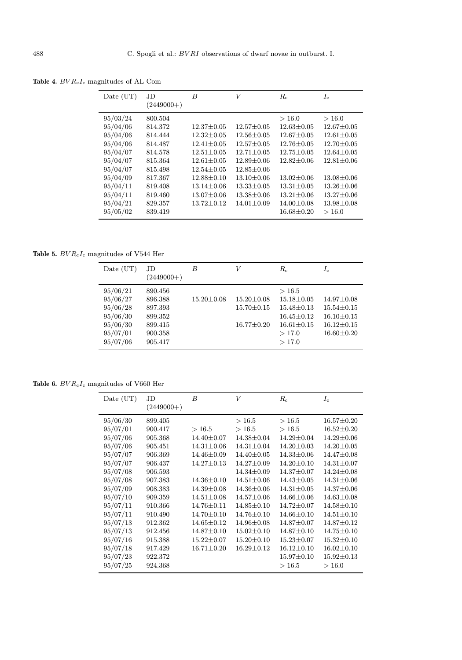| Date (UT)                                                                                                                                    | JD.<br>$(2449000+)$                                                                                                              | B                                                                                                                                                                                                    | V                                                                                                                                                                                                | $R_c$                                                                                                                                                                                               | $I_c$                                                                                                                                                                                    |
|----------------------------------------------------------------------------------------------------------------------------------------------|----------------------------------------------------------------------------------------------------------------------------------|------------------------------------------------------------------------------------------------------------------------------------------------------------------------------------------------------|--------------------------------------------------------------------------------------------------------------------------------------------------------------------------------------------------|-----------------------------------------------------------------------------------------------------------------------------------------------------------------------------------------------------|------------------------------------------------------------------------------------------------------------------------------------------------------------------------------------------|
| 95/03/24<br>95/04/06<br>95/04/06<br>95/04/06<br>95/04/07<br>95/04/07<br>95/04/07<br>95/04/09<br>95/04/11<br>95/04/11<br>95/04/21<br>95/05/02 | 800.504<br>814.372<br>814.444<br>814.487<br>814.578<br>815.364<br>815.498<br>817.367<br>819.408<br>819.460<br>829.357<br>839.419 | $12.37 \pm 0.05$<br>$12.32 \pm 0.05$<br>$12.41 \pm 0.05$<br>$12.51 \pm 0.05$<br>$12.61 \pm 0.05$<br>$12.54 \pm 0.05$<br>$12.88 \pm 0.10$<br>$13.14 \pm 0.06$<br>$13.07 \pm 0.06$<br>$13.72 \pm 0.12$ | $12.57 \pm 0.05$<br>$12.56 \pm 0.05$<br>$12.57 \pm 0.05$<br>$12.71 \pm 0.05$<br>$12.89 + 0.06$<br>$12.85 \pm 0.06$<br>$13.10 \pm 0.06$<br>$13.33 \pm 0.05$<br>$13.38 + 0.06$<br>$14.01 \pm 0.09$ | >16.0<br>$12.63 \pm 0.05$<br>$12.67 + 0.05$<br>$12.76 + 0.05$<br>$12.75 + 0.05$<br>$12.82 + 0.06$<br>$13.02 + 0.06$<br>$13.31 \pm 0.05$<br>$13.21 \pm 0.06$<br>$14.00 \pm 0.08$<br>$16.68 \pm 0.20$ | >16.0<br>$12.67 \pm 0.05$<br>$12.61 + 0.05$<br>$12.70 \pm 0.05$<br>$12.64 \pm 0.05$<br>$12.81 + 0.06$<br>$13.08 + 0.06$<br>$13.26 \pm 0.06$<br>$13.27 + 0.06$<br>$13.98 + 0.08$<br>>16.0 |

Table 4.  $BVR_{\rm c}I_{\rm c}$  magnitudes of AL Com

Table 5.  $BVR_{\rm c}I_{\rm c}$  magnitudes of V544 Her

| Date (UT)                                                                        | JD<br>$(2449000+)$                                                        | B                |                                                          | $R_c$                                                                                                   | $I_c$                                                                                            |
|----------------------------------------------------------------------------------|---------------------------------------------------------------------------|------------------|----------------------------------------------------------|---------------------------------------------------------------------------------------------------------|--------------------------------------------------------------------------------------------------|
| 95/06/21<br>95/06/27<br>95/06/28<br>95/06/30<br>95/06/30<br>95/07/01<br>95/07/06 | 890.456<br>896.388<br>897.393<br>899.352<br>899.415<br>900.358<br>905.417 | $15.20 \pm 0.08$ | $15.20 \pm 0.08$<br>$15.70 \pm 0.15$<br>$16.77 \pm 0.20$ | >16.5<br>$15.18 \pm 0.05$<br>$15.48 \pm 0.13$<br>$16.45 \pm 0.12$<br>$16.61 \pm 0.15$<br>>17.0<br>>17.0 | $14.97 \pm 0.08$<br>$15.54 \pm 0.15$<br>$16.10 \pm 0.15$<br>$16.12 \pm 0.15$<br>$16.60 \pm 0.20$ |

Table 6.  $BVR_{\rm c}I_{\rm c}$  magnitudes of V660 Her

| Date (UT)                                                                                                                                                | JD<br>$(2449000+)$                                                                                                                          | B                                                                                                                                                                                                             | V                                                                                                                                                                                                                                          | $R_c$                                                                                                                                                                                                                                      | $I_c$                                                                                                                                                                                                                                                            |
|----------------------------------------------------------------------------------------------------------------------------------------------------------|---------------------------------------------------------------------------------------------------------------------------------------------|---------------------------------------------------------------------------------------------------------------------------------------------------------------------------------------------------------------|--------------------------------------------------------------------------------------------------------------------------------------------------------------------------------------------------------------------------------------------|--------------------------------------------------------------------------------------------------------------------------------------------------------------------------------------------------------------------------------------------|------------------------------------------------------------------------------------------------------------------------------------------------------------------------------------------------------------------------------------------------------------------|
| 95/06/30<br>95/07/01<br>95/07/06<br>95/07/06<br>95/07/07<br>95/07/07<br>95/07/08<br>95/07/08<br>95/07/09<br>95/07/10<br>95/07/11<br>95/07/11<br>95/07/13 | 899.405<br>900.417<br>905.368<br>905.451<br>906.369<br>906.437<br>906.593<br>907.383<br>908.383<br>909.359<br>910.366<br>910.490<br>912.362 | >16.5<br>$14.40 \pm 0.07$<br>$14.31 \pm 0.06$<br>$14.46 \pm 0.09$<br>$14.27 \pm 0.13$<br>$14.36 \pm 0.10$<br>$14.39 \pm 0.08$<br>$14.51 \pm 0.08$<br>$14.76 \pm 0.11$<br>$14.70 \pm 0.10$<br>$14.65 \pm 0.12$ | >16.5<br>>16.5<br>$14.38 \pm 0.04$<br>$14.31 \pm 0.04$<br>$14.40 \pm 0.05$<br>$14.27 \pm 0.09$<br>$14.34 \pm 0.09$<br>$14.51 \pm 0.06$<br>$14.36 \pm 0.06$<br>$14.57 \pm 0.06$<br>$14.85 \pm 0.10$<br>$14.76 \pm 0.10$<br>$14.96 \pm 0.08$ | >16.5<br>>16.5<br>$14.29 \pm 0.04$<br>$14.20 \pm 0.03$<br>$14.33 \pm 0.06$<br>$14.20 \pm 0.10$<br>$14.37 \pm 0.07$<br>$14.43 \pm 0.05$<br>$14.31 \pm 0.05$<br>$14.66 \pm 0.06$<br>$14.72 \pm 0.07$<br>$14.66 \pm 0.10$<br>$14.87 \pm 0.07$ | $16.57 \pm 0.20$<br>$16.52 \pm 0.20$<br>$14.29 \pm 0.06$<br>$14.20 \pm 0.05$<br>$14.47 \pm 0.08$<br>$14.31 \pm 0.07$<br>$14.24 \pm 0.08$<br>$14.31 \pm 0.06$<br>$14.37 \pm 0.06$<br>$14.63 \pm 0.08$<br>$14.58 \pm 0.10$<br>$14.51 \pm 0.10$<br>$14.87 \pm 0.12$ |
| 95/07/13<br>95/07/16<br>95/07/18<br>95/07/23<br>95/07/25                                                                                                 | 912.456<br>915.388<br>917.429<br>922.372<br>924.368                                                                                         | $14.87 \pm 0.10$<br>$15.22 \pm 0.07$<br>$16.71 \pm 0.20$                                                                                                                                                      | $15.02 \pm 0.10$<br>$15.20 \pm 0.10$<br>$16.29 \pm 0.12$                                                                                                                                                                                   | $14.87 \pm 0.10$<br>$15.23 \pm 0.07$<br>$16.12 \pm 0.10$<br>$15.97 \pm 0.10$<br>>16.5                                                                                                                                                      | $14.75 \pm 0.10$<br>$15.32 \pm 0.10$<br>$16.02 \pm 0.10$<br>$15.92 \pm 0.13$<br>>16.0                                                                                                                                                                            |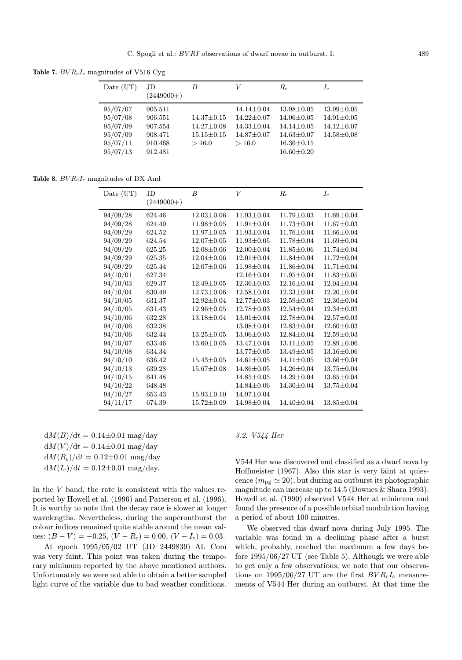Table 7.  $BVR<sub>c</sub>I<sub>c</sub>$  magnitudes of V516 Cyg

| Date $(UT)$                      | JD<br>$(2449000+)$            | B                                    | V                                                        | $R_c$                                                    | $I_{\rm c}$                                              |
|----------------------------------|-------------------------------|--------------------------------------|----------------------------------------------------------|----------------------------------------------------------|----------------------------------------------------------|
| 95/07/07<br>95/07/08<br>95/07/09 | 905.511<br>906.551<br>907.554 | $14.37 \pm 0.15$<br>$14.27 \pm 0.08$ | $14.14 \pm 0.04$<br>$14.22 \pm 0.07$<br>$14.33 \pm 0.04$ | $13.98 \pm 0.05$<br>$14.06 \pm 0.05$<br>$14.14 \pm 0.05$ | $13.99 \pm 0.05$<br>$14.01 \pm 0.05$<br>$14.12 \pm 0.07$ |
| 95/07/09<br>95/07/11<br>95/07/13 | 908.471<br>910.468<br>912.481 | $15.15 \pm 0.15$<br>>16.0            | $14.87 \pm 0.07$<br>>16.0                                | $14.63 \pm 0.07$<br>$16.36 \pm 0.15$<br>$16.60 \pm 0.20$ | $14.58 \pm 0.08$                                         |

Table 8.  $BVR<sub>c</sub>I<sub>c</sub>$  magnitudes of DX And

| Date (UT) | JD.<br>$(2449000+)$ | $\overline{B}$   | $\overline{V}$   | $R_{c}$          | $I_{\rm c}$      |
|-----------|---------------------|------------------|------------------|------------------|------------------|
|           |                     | $12.03 \pm 0.06$ | $11.93 \pm 0.04$ | $11.79 \pm 0.03$ | $11.69 \pm 0.04$ |
| 94/09/28  | 624.46              |                  |                  |                  |                  |
| 94/09/28  | 624.49              | $11.98 \pm 0.05$ | $11.91 \pm 0.04$ | $11.73 \pm 0.04$ | $11.67 \pm 0.03$ |
| 94/09/29  | 624.52              | $11.97 \pm 0.05$ | $11.93 \pm 0.04$ | $11.76 \pm 0.04$ | 11.66±0.04       |
| 94/09/29  | 624.54              | $12.07 \pm 0.05$ | $11.93 \pm 0.05$ | 11.78±0.04       | $11.69 \pm 0.04$ |
| 94/09/29  | 625.25              | $12.08 \pm 0.06$ | $12.00 \pm 0.04$ | $11.85 \pm 0.06$ | 11.74±0.04       |
| 94/09/29  | 625.35              | $12.04 \pm 0.06$ | $12.01 \pm 0.04$ | $11.84 \pm 0.04$ | $11.72 \pm 0.04$ |
| 94/09/29  | 625.44              | $12.07 \pm 0.06$ | $11.98 \pm 0.04$ | $11.86 \pm 0.04$ | $11.71 \pm 0.04$ |
| 94/10/01  | 627.34              |                  | $12.16 \pm 0.04$ | $11.95 \pm 0.04$ | $11.83 \pm 0.05$ |
| 94/10/03  | 629.37              | $12.49 \pm 0.05$ | $12.36 \pm 0.03$ | $12.16 \pm 0.04$ | $12.04 \pm 0.04$ |
| 94/10/04  | 630.49              | $12.73 \pm 0.06$ | $12.58 \pm 0.04$ | $12.33 \pm 0.04$ | $12.20 \pm 0.04$ |
| 94/10/05  | 631.37              | $12.92 \pm 0.04$ | $12.77 \pm 0.03$ | $12.59 \pm 0.05$ | $12.30 \pm 0.04$ |
| 94/10/05  | 631.43              | $12.96 \pm 0.05$ | $12.78 \pm 0.03$ | $12.54 \pm 0.04$ | $12.34 \pm 0.03$ |
| 94/10/06  | 632.28              | $13.18 \pm 0.04$ | $13.01 \pm 0.04$ | $12.78 \pm 0.04$ | $12.57 \pm 0.03$ |
| 94/10/06  | 632.38              |                  | $13.08 \pm 0.04$ | $12.83 \pm 0.04$ | $12.60 \pm 0.03$ |
| 94/10/06  | 632.44              | $13.25 \pm 0.05$ | $13.06 \pm 0.03$ | $12.84 \pm 0.04$ | $12.59 \pm 0.03$ |
| 94/10/07  | 633.46              | $13.60 \pm 0.05$ | $13.47 \pm 0.04$ | $13.11 \pm 0.05$ | $12.89 \pm 0.06$ |
| 94/10/08  | 634.34              |                  | $13.77 \pm 0.05$ | $13.49 \pm 0.05$ | $13.16 \pm 0.06$ |
| 94/10/10  | 636.42              | $15.43 \pm 0.05$ | $14.61 \pm 0.05$ | $14.11 \pm 0.05$ | $13.66 \pm 0.04$ |
| 94/10/13  | 639.28              | $15.67 \pm 0.08$ | $14.86 \pm 0.05$ | 14.26±0.04       | 13.75±0.04       |
| 94/10/15  | 641.48              |                  | $14.85 \pm 0.05$ | 14.29±0.04       | $13.65 \pm 0.04$ |
| 94/10/22  | 648.48              |                  | $14.84 \pm 0.06$ | $14.30 \pm 0.04$ | $13.75 \pm 0.04$ |
| 94/10/27  | 653.43              | $15.93 \pm 0.10$ | 14.97±0.04       |                  |                  |
| 94/11/17  | 674.39              | $15.72 \pm 0.09$ | $14.98 \pm 0.04$ | 14.40±0.04       | $13.85 \pm 0.04$ |
|           |                     |                  |                  |                  |                  |

 $dM(B)/dt = 0.14\pm0.01$  mag/day  $dM(V)/dt = 0.14\pm0.01$  mag/day  $dM(R_c)/dt = 0.12\pm0.01$  mag/day  $dM(I_c)/dt = 0.12 \pm 0.01$  mag/day.

In the  $V$  band, the rate is consistent with the values reported by Howell et al. (1996) and Patterson et al. (1996). It is worthy to note that the decay rate is slower at longer wavelengths. Nevertheless, during the superoutburst the colour indices remained quite stable around the mean values:  $(B - V) = -0.25$ ,  $(V - R_c) = 0.00$ ,  $(V - I_c) = 0.03$ .

At epoch 1995/05/02 UT (JD 2449839) AL Com was very faint. This point was taken during the temporary minimum reported by the above mentioned authors. Unfortunately we were not able to obtain a better sampled light curve of the variable due to bad weather conditions.

# 3.2. V544 Her

V544 Her was discovered and classified as a dwarf nova by Hoffmeister (1967). Also this star is very faint at quiescence  $(m_{\text{pg}} \simeq 20)$ , but during an outburst its photographic magnitude can increase up to 14.5 (Downes & Shara 1993). Howell et al. (1990) observed V544 Her at minimum and found the presence of a possible orbital modulation having a period of about 100 minutes.

We observed this dwarf nova during July 1995. The variable was found in a declining phase after a burst which, probably, reached the maximum a few days before 1995/06/27 UT (see Table 5). Although we were able to get only a few observations, we note that our observations on 1995/06/27 UT are the first  $BVR_{c}I_{c}$  measurements of V544 Her during an outburst. At that time the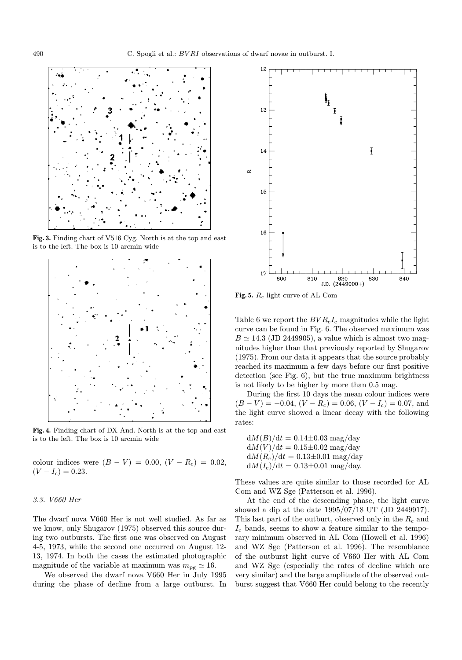

Fig. 3. Finding chart of V516 Cyg. North is at the top and east is to the left. The box is 10 arcmin wide



Fig. 4. Finding chart of DX And. North is at the top and east is to the left. The box is 10 arcmin wide

colour indices were  $(B - V) = 0.00, (V - R<sub>c</sub>) = 0.02,$  $(V - I_c) = 0.23$ .

#### 3.3. V660 Her

The dwarf nova V660 Her is not well studied. As far as we know, only Shugarov (1975) observed this source during two outbursts. The first one was observed on August 4-5, 1973, while the second one occurred on August 12- 13, 1974. In both the cases the estimated photographic magnitude of the variable at maximum was  $m_{\text{pg}} \simeq 16$ .

We observed the dwarf nova V660 Her in July 1995 during the phase of decline from a large outburst. In



Fig. 5. R<sup>c</sup> light curve of AL Com

Table 6 we report the  $BVR<sub>c</sub>I<sub>c</sub>$  magnitudes while the light curve can be found in Fig. 6. The observed maximum was  $B \simeq 14.3$  (JD 2449905), a value which is almost two magnitudes higher than that previously reported by Shugarov (1975). From our data it appears that the source probably reached its maximum a few days before our first positive detection (see Fig. 6), but the true maximum brightness is not likely to be higher by more than 0.5 mag.

During the first 10 days the mean colour indices were  $(B - V) = -0.04$ ,  $(V - R_c) = 0.06$ ,  $(V - I_c) = 0.07$ , and the light curve showed a linear decay with the following rates:

 $dM(B)/dt = 0.14\pm0.03$  mag/day  $dM(V)/dt = 0.15 \pm 0.02$  mag/day  $dM(R_c)/dt = 0.13\pm0.01$  mag/day  $dM(I_c)/dt = 0.13\pm0.01$  mag/day.

These values are quite similar to those recorded for AL Com and WZ Sge (Patterson et al. 1996).

At the end of the descending phase, the light curve showed a dip at the date 1995/07/18 UT (JD 2449917). This last part of the outburt, observed only in the  $R_c$  and  $I_c$  bands, seems to show a feature similar to the temporary minimum observed in AL Com (Howell et al. 1996) and WZ Sge (Patterson et al. 1996). The resemblance of the outburst light curve of V660 Her with AL Com and WZ Sge (especially the rates of decline which are very similar) and the large amplitude of the observed outburst suggest that V660 Her could belong to the recently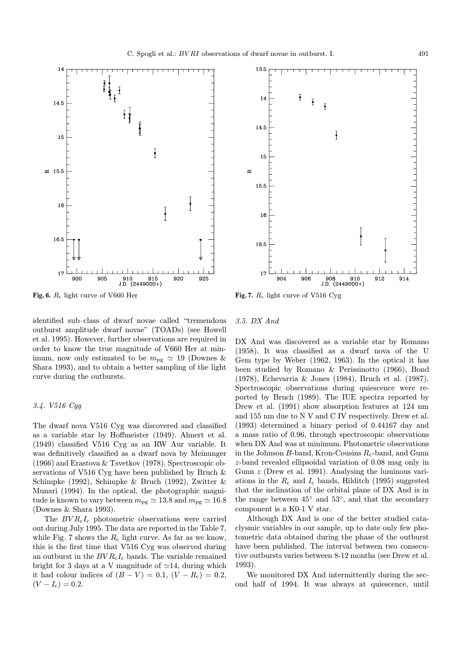

Fig. 6. R<sup>c</sup> light curve of V660 Her



identified sub–class of dwarf novae called "tremendous

outburst amplitude dwarf novae" (TOADs) (see Howell et al. 1995). However, further observations are required in order to know the true magnitude of V660 Her at minimum, now only estimated to be  $m_{\text{pg}} \simeq 19$  (Downes & Shara 1993), and to obtain a better sampling of the light curve during the outbursts.

# 3.4. V516 Cyg

The dwarf nova V516 Cyg was discovered and classified as a variable star by Hoffmeister (1949). Ahnert et al. (1949) classified V516 Cyg as an RW Aur variable. It was definitively classified as a dwarf nova by Meinunger (1966) and Erastova & Tsvetkov (1978). Spectroscopic observations of V516 Cyg have been published by Bruch & Schimpke (1992), Schimpke & Bruch (1992), Zwitter & Munari (1994). In the optical, the photographic magnitude is known to vary between  $m_{\text{pg}} \simeq 13.8$  and  $m_{\text{pg}} \simeq 16.8$ (Downes & Shara 1993).

The  $BVR<sub>c</sub>I<sub>c</sub>$  photometric observations were carried out during July 1995. The data are reported in the Table 7, while Fig. 7 shows the  $R_c$  light curve. As far as we know, this is the first time that V516 Cyg was observed during an outburst in the  $BVR<sub>c</sub>I<sub>c</sub>$  bands. The variable remained bright for 3 days at a V magnitude of  $\simeq$ 14, during which it had colour indices of  $(B - V) = 0.1$ ,  $(V - R_c) = 0.2$ ,  $(V - I_c) = 0.2.$ 

#### 3.5. DX And

DX And was discovered as a variable star by Romano (1958). It was classified as a dwarf nova of the U Gem type by Weber (1962, 1963). In the optical it has been studied by Romano & Perissinotto (1966), Bond (1978), Echevarria & Jones (1984), Bruch et al. (1987). Spectroscopic observations during quiescence were reported by Bruch (1989). The IUE spectra reported by Drew et al. (1991) show absorption features at 124 nm and 155 nm due to N V and C IV respectively. Drew et al. (1993) determined a binary period of 0.44167 day and a mass ratio of 0.96, through spectroscopic observations when DX And was at minimum. Photometric observations in the Johnson  $B$ -band, Kron-Cousins  $R_c$ -band, and Gunn z-band revealed ellipsoidal variation of 0.08 mag only in Gunn z (Drew et al. 1991). Analysing the luminous variations in the  $R_c$  and  $I_c$  bands, Hilditch (1995) suggested that the inclination of the orbital plane of DX And is in the range between  $45°$  and  $53°$ , and that the secondary component is a K0-1 V star.

Although DX And is one of the better studied cataclysmic variables in our sample, up to date only few photometric data obtained during the phase of the outburst have been published. The interval between two consecutive outbursts varies between 8-12 months (see Drew et al. 1993).

We monitored DX And intermittently during the second half of 1994. It was always at quiescence, until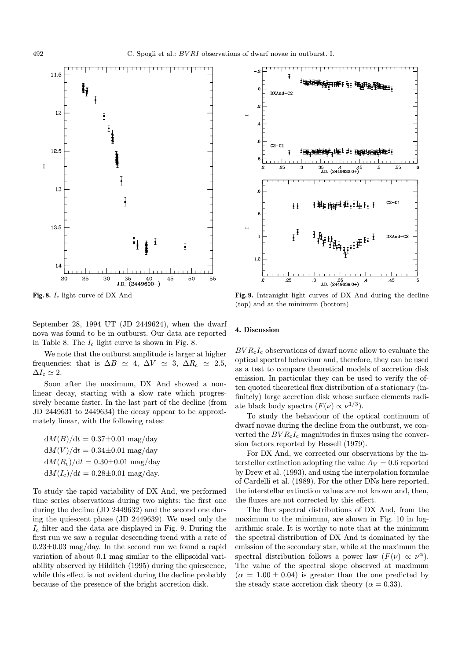

Fig. 8. I<sup>c</sup> light curve of DX And

September 28, 1994 UT (JD 2449624), when the dwarf nova was found to be in outburst. Our data are reported in Table 8. The  $I_c$  light curve is shown in Fig. 8.

We note that the outburst amplitude is larger at higher frequencies: that is  $\Delta B \simeq 4$ ,  $\Delta V \simeq 3$ ,  $\Delta R_c \simeq 2.5$ ,  $\Delta I_c \simeq 2.$ 

Soon after the maximum, DX And showed a nonlinear decay, starting with a slow rate which progressively became faster. In the last part of the decline (from JD 2449631 to 2449634) the decay appear to be approximately linear, with the following rates:

 $dM(B)/dt = 0.37\pm0.01$  mag/day  $dM(V)/dt = 0.34\pm0.01$  mag/day  $dM(R_c)/dt = 0.30\pm0.01$  mag/day  $dM(I_c)/dt = 0.28 \pm 0.01$  mag/day.

To study the rapid variability of DX And, we performed time series observations during two nights: the first one during the decline (JD 2449632) and the second one during the quiescent phase (JD 2449639). We used only the  $I_c$  filter and the data are displayed in Fig. 9. During the first run we saw a regular descending trend with a rate of  $0.23\pm0.03$  mag/day. In the second run we found a rapid variation of about 0.1 mag similar to the ellipsoidal variability observed by Hilditch (1995) during the quiescence, while this effect is not evident during the decline probably because of the presence of the bright accretion disk.



Fig. 9. Intranight light curves of DX And during the decline (top) and at the minimum (bottom)

### 4. Discussion

 $BVR<sub>c</sub>I<sub>c</sub>$  observations of dwarf novae allow to evaluate the optical spectral behaviour and, therefore, they can be used as a test to compare theoretical models of accretion disk emission. In particular they can be used to verify the often quoted theoretical flux distribution of a stationary (infinitely) large accretion disk whose surface elements radiate black body spectra  $(F(\nu) \propto \nu^{1/3})$ .

To study the behaviour of the optical continuum of dwarf novae during the decline from the outburst, we converted the  $BVR<sub>c</sub>I<sub>c</sub>$  magnitudes in fluxes using the conversion factors reported by Bessell (1979).

For DX And, we corrected our observations by the interstellar extinction adopting the value  $A_V = 0.6$  reported by Drew et al. (1993), and using the interpolation formulae of Cardelli et al. (1989). For the other DNs here reported, the interstellar extinction values are not known and, then, the fluxes are not corrected by this effect.

The flux spectral distributions of DX And, from the maximum to the minimum, are shown in Fig. 10 in logarithmic scale. It is worthy to note that at the minimum the spectral distribution of DX And is dominated by the emission of the secondary star, while at the maximum the spectral distribution follows a power law  $(F(\nu) \propto \nu^{\alpha})$ . The value of the spectral slope observed at maximum  $(\alpha = 1.00 \pm 0.04)$  is greater than the one predicted by the steady state accretion disk theory ( $\alpha = 0.33$ ).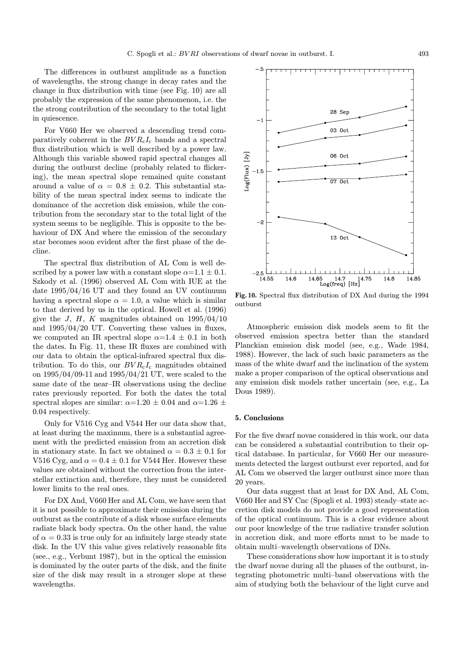The differences in outburst amplitude as a function of wavelengths, the strong change in decay rates and the change in flux distribution with time (see Fig. 10) are all probably the expression of the same phenomenon, i.e. the the strong contribution of the secondary to the total light in quiescence.

For V660 Her we observed a descending trend comparatively coherent in the  $BVR<sub>c</sub>I<sub>c</sub>$  bands and a spectral flux distribution which is well described by a power law. Although this variable showed rapid spectral changes all during the outburst decline (probably related to flickering), the mean spectral slope remained quite constant around a value of  $\alpha = 0.8 \pm 0.2$ . This substantial stability of the mean spectral index seems to indicate the dominance of the accretion disk emission, while the contribution from the secondary star to the total light of the system seems to be negligible. This is opposite to the behaviour of DX And where the emission of the secondary star becomes soon evident after the first phase of the decline.

The spectral flux distribution of AL Com is well described by a power law with a constant slope  $\alpha=1.1\pm0.1$ . Szkody et al. (1996) observed AL Com with IUE at the date 1995/04/16 UT and they found an UV continuum having a spectral slope  $\alpha = 1.0$ , a value which is similar to that derived by us in the optical. Howell et al. (1996) give the J, H, K magnitudes obtained on  $1995/04/10$ and 1995/04/20 UT. Converting these values in fluxes, we computed an IR spectral slope  $\alpha=1.4\pm0.1$  in both the dates. In Fig. 11, these IR fluxes are combined with our data to obtain the optical-infrared spectral flux distribution. To do this, our  $BVR<sub>c</sub>I<sub>c</sub>$  magnitudes obtained on 1995/04/09-11 and 1995/04/21 UT, were scaled to the same date of the near–IR observations using the decline rates previously reported. For both the dates the total spectral slopes are similar:  $\alpha=1.20 \pm 0.04$  and  $\alpha=1.26 \pm 0.04$ 0.04 respectively.

Only for V516 Cyg and V544 Her our data show that, at least during the maximum, there is a substantial agreement with the predicted emission from an accretion disk in stationary state. In fact we obtained  $\alpha = 0.3 \pm 0.1$  for V516 Cyg, and  $\alpha = 0.4 \pm 0.1$  for V544 Her. However these values are obtained without the correction from the interstellar extinction and, therefore, they must be considered lower limits to the real ones.

For DX And, V660 Her and AL Com, we have seen that it is not possible to approximate their emission during the outburst as the contribute of a disk whose surface elements radiate black body spectra. On the other hand, the value of  $\alpha = 0.33$  is true only for an infinitely large steady state disk. In the UV this value gives relatively reasonable fits (see., e.g., Verbunt 1987), but in the optical the emission is dominated by the outer parts of the disk, and the finite size of the disk may result in a stronger slope at these wavelengths.



Fig. 10. Spectral flux distribution of DX And during the 1994 outburst

Atmospheric emission disk models seem to fit the observed emission spectra better than the standard Planckian emission disk model (see, e.g., Wade 1984, 1988). However, the lack of such basic parameters as the mass of the white dwarf and the inclination of the system make a proper comparison of the optical observations and any emission disk models rather uncertain (see, e.g., La Dous 1989).

#### 5. Conclusions

For the five dwarf novae considered in this work, our data can be considered a substantial contribution to their optical database. In particular, for V660 Her our measurements detected the largest outburst ever reported, and for AL Com we observed the larger outburst since more than 20 years.

Our data suggest that at least for DX And, AL Com, V660 Her and SY Cnc (Spogli et al. 1993) steady–state accretion disk models do not provide a good representation of the optical continuum. This is a clear evidence about our poor knowledge of the true radiative transfer solution in accretion disk, and more efforts must to be made to obtain multi–wavelength observations of DNs.

These considerations show how important it is to study the dwarf novae during all the phases of the outburst, integrating photometric multi–band observations with the aim of studying both the behaviour of the light curve and